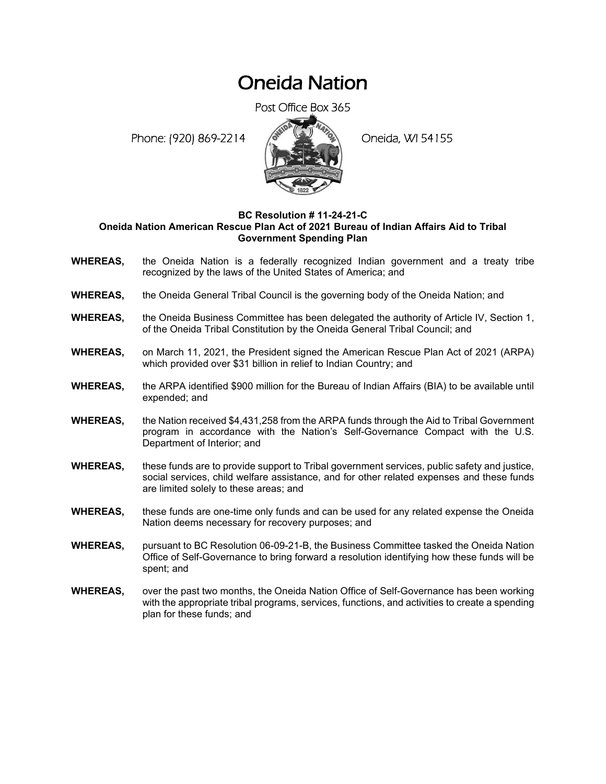# Oneida Nation

Post Office Box 365

Phone: (920) 869-2214 (8 April 194155)



# **BC Resolution # 11-24-21-C Oneida Nation American Rescue Plan Act of 2021 Bureau of Indian Affairs Aid to Tribal Government Spending Plan**

- **WHEREAS,** the Oneida Nation is a federally recognized Indian government and a treaty tribe recognized by the laws of the United States of America; and
- **WHEREAS,** the Oneida General Tribal Council is the governing body of the Oneida Nation; and
- **WHEREAS,** the Oneida Business Committee has been delegated the authority of Article IV, Section 1, of the Oneida Tribal Constitution by the Oneida General Tribal Council; and
- **WHEREAS,** on March 11, 2021, the President signed the American Rescue Plan Act of 2021 (ARPA) which provided over \$31 billion in relief to Indian Country; and
- **WHEREAS,** the ARPA identified \$900 million for the Bureau of Indian Affairs (BIA) to be available until expended; and
- **WHEREAS,** the Nation received \$4,431,258 from the ARPA funds through the Aid to Tribal Government program in accordance with the Nation's Self-Governance Compact with the U.S. Department of Interior; and
- **WHEREAS,** these funds are to provide support to Tribal government services, public safety and justice, social services, child welfare assistance, and for other related expenses and these funds are limited solely to these areas; and
- **WHEREAS,** these funds are one-time only funds and can be used for any related expense the Oneida Nation deems necessary for recovery purposes; and
- **WHEREAS,** pursuant to BC Resolution 06-09-21-B, the Business Committee tasked the Oneida Nation Office of Self-Governance to bring forward a resolution identifying how these funds will be spent; and
- **WHEREAS,** over the past two months, the Oneida Nation Office of Self-Governance has been working with the appropriate tribal programs, services, functions, and activities to create a spending plan for these funds; and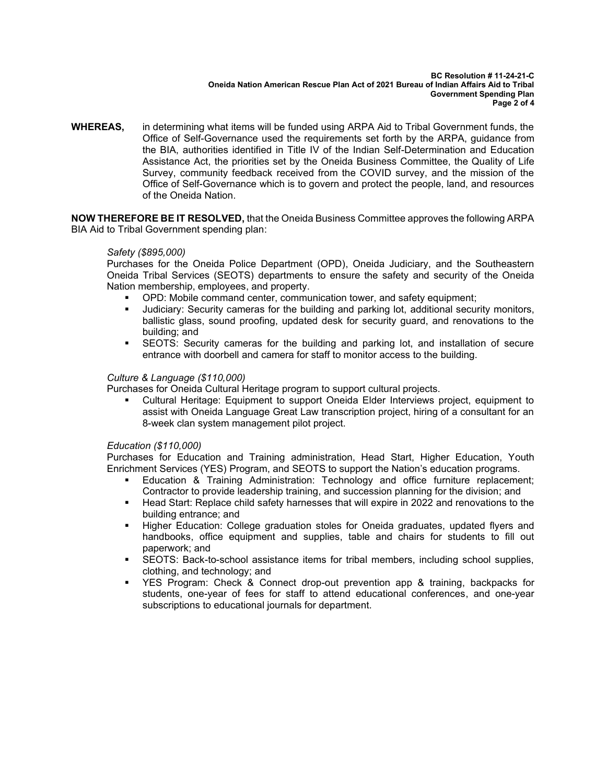#### **BC Resolution # 11-24-21-C Oneida Nation American Rescue Plan Act of 2021 Bureau of Indian Affairs Aid to Tribal Government Spending Plan Page 2 of 4**

**WHEREAS,** in determining what items will be funded using ARPA Aid to Tribal Government funds, the Office of Self-Governance used the requirements set forth by the ARPA, guidance from the BIA, authorities identified in Title IV of the Indian Self-Determination and Education Assistance Act, the priorities set by the Oneida Business Committee, the Quality of Life Survey, community feedback received from the COVID survey, and the mission of the Office of Self-Governance which is to govern and protect the people, land, and resources of the Oneida Nation.

**NOW THEREFORE BE IT RESOLVED,** that the Oneida Business Committee approves the following ARPA BIA Aid to Tribal Government spending plan:

## *Safety (\$895,000)*

Purchases for the Oneida Police Department (OPD), Oneida Judiciary, and the Southeastern Oneida Tribal Services (SEOTS) departments to ensure the safety and security of the Oneida Nation membership, employees, and property.

- OPD: Mobile command center, communication tower, and safety equipment;
- Judiciary: Security cameras for the building and parking lot, additional security monitors, ballistic glass, sound proofing, updated desk for security guard, and renovations to the building; and
- **EXECTS:** Security cameras for the building and parking lot, and installation of secure entrance with doorbell and camera for staff to monitor access to the building.

# *Culture & Language (\$110,000)*

Purchases for Oneida Cultural Heritage program to support cultural projects.

Cultural Heritage: Equipment to support Oneida Elder Interviews project, equipment to assist with Oneida Language Great Law transcription project, hiring of a consultant for an 8-week clan system management pilot project.

## *Education (\$110,000)*

Purchases for Education and Training administration, Head Start, Higher Education, Youth Enrichment Services (YES) Program, and SEOTS to support the Nation's education programs.

- Education & Training Administration: Technology and office furniture replacement; Contractor to provide leadership training, and succession planning for the division; and
- Head Start: Replace child safety harnesses that will expire in 2022 and renovations to the building entrance; and
- **■** Higher Education: College graduation stoles for Oneida graduates, updated flyers and handbooks, office equipment and supplies, table and chairs for students to fill out paperwork; and
- **EXECTS: Back-to-school assistance items for tribal members, including school supplies,** clothing, and technology; and
- YES Program: Check & Connect drop-out prevention app & training, backpacks for students, one-year of fees for staff to attend educational conferences, and one-year subscriptions to educational journals for department.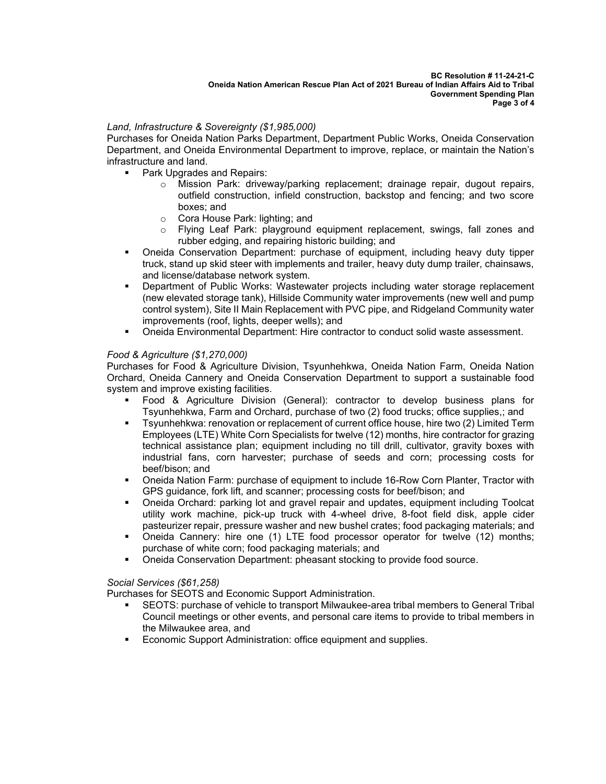# *Land, Infrastructure & Sovereignty (\$1,985,000)*

Purchases for Oneida Nation Parks Department, Department Public Works, Oneida Conservation Department, and Oneida Environmental Department to improve, replace, or maintain the Nation's infrastructure and land.

- Park Upgrades and Repairs:
	- o Mission Park: driveway/parking replacement; drainage repair, dugout repairs, outfield construction, infield construction, backstop and fencing; and two score boxes; and
	- o Cora House Park: lighting; and
	- Flying Leaf Park: playground equipment replacement, swings, fall zones and rubber edging, and repairing historic building; and
- Oneida Conservation Department: purchase of equipment, including heavy duty tipper truck, stand up skid steer with implements and trailer, heavy duty dump trailer, chainsaws, and license/database network system.
- **•** Department of Public Works: Wastewater projects including water storage replacement (new elevated storage tank), Hillside Community water improvements (new well and pump control system), Site II Main Replacement with PVC pipe, and Ridgeland Community water improvements (roof, lights, deeper wells); and
- Oneida Environmental Department: Hire contractor to conduct solid waste assessment.

# *Food & Agriculture (\$1,270,000)*

Purchases for Food & Agriculture Division, Tsyunhehkwa, Oneida Nation Farm, Oneida Nation Orchard, Oneida Cannery and Oneida Conservation Department to support a sustainable food system and improve existing facilities.

- Food & Agriculture Division (General): contractor to develop business plans for Tsyunhehkwa, Farm and Orchard, purchase of two (2) food trucks; office supplies,; and
- Tsyunhehkwa: renovation or replacement of current office house, hire two (2) Limited Term Employees (LTE) White Corn Specialists for twelve (12) months, hire contractor for grazing technical assistance plan; equipment including no till drill, cultivator, gravity boxes with industrial fans, corn harvester; purchase of seeds and corn; processing costs for beef/bison; and
- Oneida Nation Farm: purchase of equipment to include 16-Row Corn Planter, Tractor with GPS guidance, fork lift, and scanner; processing costs for beef/bison; and
- Oneida Orchard: parking lot and gravel repair and updates, equipment including Toolcat utility work machine, pick-up truck with 4-wheel drive, 8-foot field disk, apple cider pasteurizer repair, pressure washer and new bushel crates; food packaging materials; and
- Oneida Cannery: hire one (1) LTE food processor operator for twelve (12) months; purchase of white corn; food packaging materials; and
- **Oneida Conservation Department: pheasant stocking to provide food source.**

*Social Services (\$61,258)*

Purchases for SEOTS and Economic Support Administration.

- SEOTS: purchase of vehicle to transport Milwaukee-area tribal members to General Tribal Council meetings or other events, and personal care items to provide to tribal members in the Milwaukee area, and
- Economic Support Administration: office equipment and supplies.